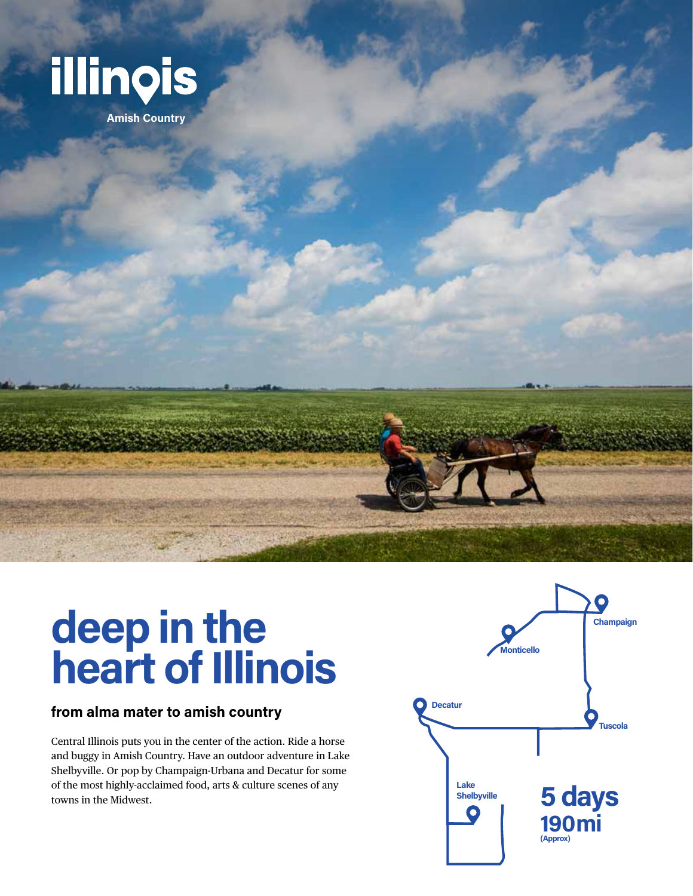

**Amish Country**

# **deep in the heart of Illinois**

#### **from alma mater to amish country**

Central Illinois puts you in the center of the action. Ride a horse and buggy in Amish Country. Have an outdoor adventure in Lake Shelbyville. Or pop by Champaign-Urbana and Decatur for some of the most highly-acclaimed food, arts & culture scenes of any towns in the Midwest.

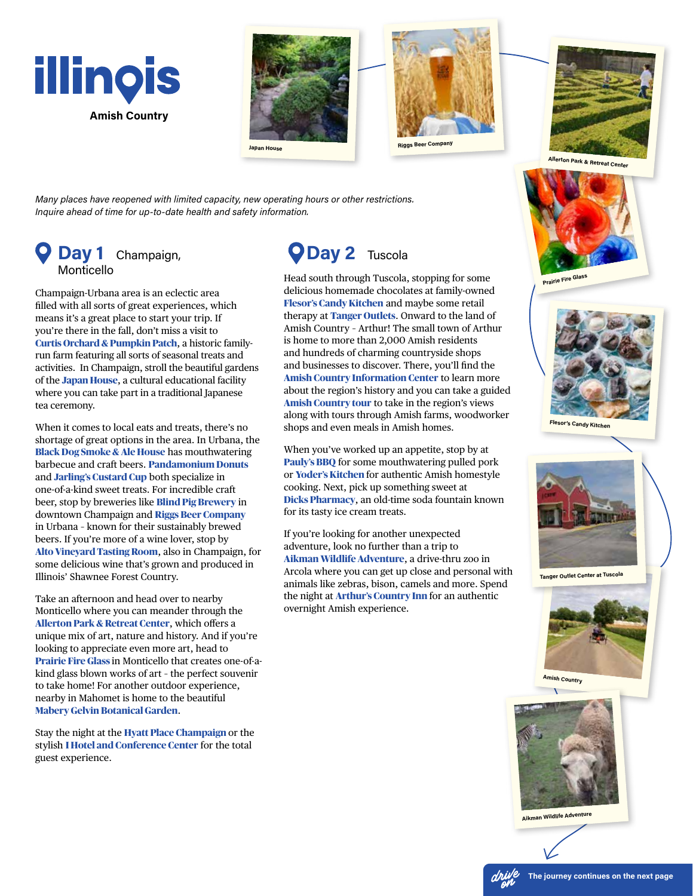







**k & Retreat Center** 

*Many places have reopened with limited capacity, new operating hours or other restrictions. Inquire ahead of time for up-to-date health and safety information.*

### **Day 1** Champaign, Monticello

Champaign-Urbana area is an eclectic area filled with all sorts of great experiences, which means it's a great place to start your trip. If you're there in the fall, don't miss a visit to **Curtis Orchard & Pumpkin Patch**, a historic familyrun farm featuring all sorts of seasonal treats and activities. In Champaign, stroll the beautiful gardens of the **Japan House**, a cultural educational facility where you can take part in a traditional Japanese tea ceremony.

When it comes to local eats and treats, there's no shortage of great options in the area. In Urbana, the **Black Dog Smoke & Ale House** has mouthwatering barbecue and craft beers. **Pandamonium Donuts** and **Jarling's Custard Cup** both specialize in one-of-a-kind sweet treats. For incredible craft beer, stop by breweries like **Blind Pig Brewery** in downtown Champaign and **Riggs Beer Company** in Urbana – known for their sustainably brewed beers. If you're more of a wine lover, stop by **Alto Vineyard Tasting Room**, also in Champaign, for some delicious wine that's grown and produced in Illinois' Shawnee Forest Country.

Take an afternoon and head over to nearby Monticello where you can meander through the **Allerton Park & Retreat Center**, which offers a unique mix of art, nature and history. And if you're looking to appreciate even more art, head to **Prairie Fire Glass** in Monticello that creates one-of-akind glass blown works of art – the perfect souvenir to take home! For another outdoor experience, nearby in Mahomet is home to the beautiful **Mabery Gelvin Botanical Garden**.

Stay the night at the **Hyatt Place Champaign** or the stylish **I Hotel and Conference Center** for the total guest experience.

## **Day 2** Tuscola

Head south through Tuscola, stopping for some delicious homemade chocolates at family-owned **Flesor's Candy Kitchen** and maybe some retail therapy at **Tanger Outlets**. Onward to the land of Amish Country – Arthur! The small town of Arthur is home to more than 2,000 Amish residents and hundreds of charming countryside shops and businesses to discover. There, you'll find the **Amish Country Information Center** to learn more about the region's history and you can take a guided **Amish Country tour** to take in the region's views along with tours through Amish farms, woodworker shops and even meals in Amish homes.

When you've worked up an appetite, stop by at **Pauly's BBQ** for some mouthwatering pulled pork or **Yoder's Kitchen** for authentic Amish homestyle cooking. Next, pick up something sweet at **Dicks Pharmacy**, an old-time soda fountain known for its tasty ice cream treats.

If you're looking for another unexpected adventure, look no further than a trip to **Aikman Wildlife Adventure**, a drive-thru zoo in Arcola where you can get up close and personal with animals like zebras, bison, camels and more. Spend the night at **Arthur's Country Inn** for an authentic overnight Amish experience.



**Prairie Fire Glass**



**Tanger Outlet Center at Tuscola**



**Amish Country**



**Aikman Wildlife Adventure**